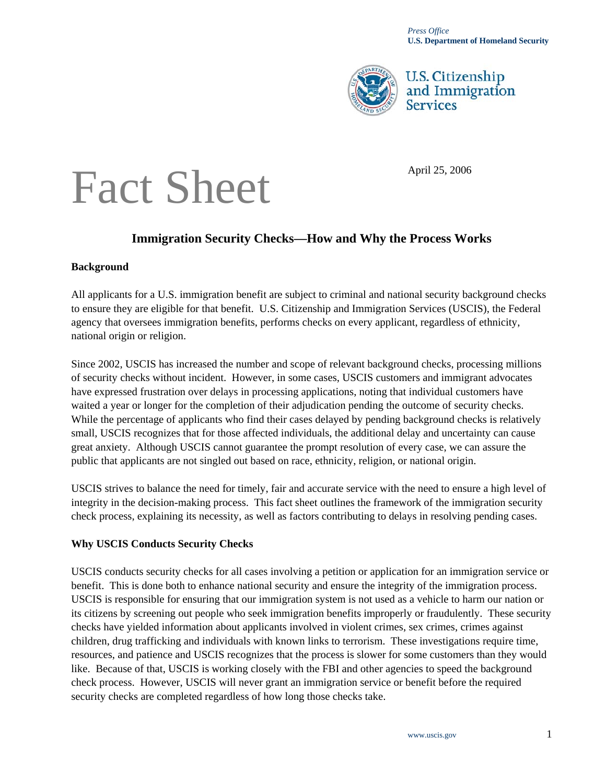

**U.S. Citizenship** and Immigration **Services** 

# Fact Sheet

## **Immigration Security Checks—How and Why the Process Works**

### **Background**

All applicants for a U.S. immigration benefit are subject to criminal and national security background checks to ensure they are eligible for that benefit. U.S. Citizenship and Immigration Services (USCIS), the Federal agency that oversees immigration benefits, performs checks on every applicant, regardless of ethnicity, national origin or religion.

Since 2002, USCIS has increased the number and scope of relevant background checks, processing millions of security checks without incident. However, in some cases, USCIS customers and immigrant advocates have expressed frustration over delays in processing applications, noting that individual customers have waited a year or longer for the completion of their adjudication pending the outcome of security checks. While the percentage of applicants who find their cases delayed by pending background checks is relatively small, USCIS recognizes that for those affected individuals, the additional delay and uncertainty can cause great anxiety. Although USCIS cannot guarantee the prompt resolution of every case, we can assure the public that applicants are not singled out based on race, ethnicity, religion, or national origin.

USCIS strives to balance the need for timely, fair and accurate service with the need to ensure a high level of integrity in the decision-making process. This fact sheet outlines the framework of the immigration security check process, explaining its necessity, as well as factors contributing to delays in resolving pending cases.

### **Why USCIS Conducts Security Checks**

USCIS conducts security checks for all cases involving a petition or application for an immigration service or benefit. This is done both to enhance national security and ensure the integrity of the immigration process. USCIS is responsible for ensuring that our immigration system is not used as a vehicle to harm our nation or its citizens by screening out people who seek immigration benefits improperly or fraudulently. These security checks have yielded information about applicants involved in violent crimes, sex crimes, crimes against children, drug trafficking and individuals with known links to terrorism. These investigations require time, resources, and patience and USCIS recognizes that the process is slower for some customers than they would like. Because of that, USCIS is working closely with the FBI and other agencies to speed the background check process. However, USCIS will never grant an immigration service or benefit before the required security checks are completed regardless of how long those checks take.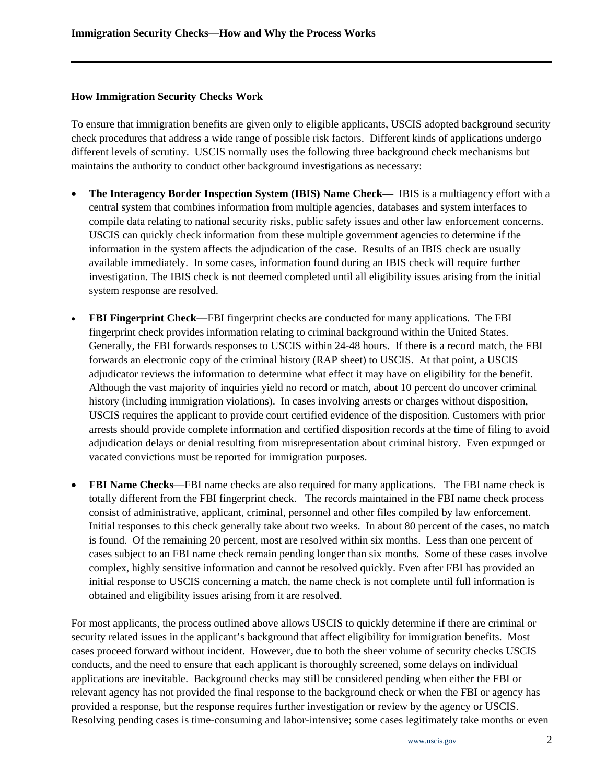#### **How Immigration Security Checks Work**

To ensure that immigration benefits are given only to eligible applicants, USCIS adopted background security check procedures that address a wide range of possible risk factors. Different kinds of applications undergo different levels of scrutiny. USCIS normally uses the following three background check mechanisms but maintains the authority to conduct other background investigations as necessary:

- **The Interagency Border Inspection System (IBIS) Name Check—** IBIS is a multiagency effort with a central system that combines information from multiple agencies, databases and system interfaces to compile data relating to national security risks, public safety issues and other law enforcement concerns. USCIS can quickly check information from these multiple government agencies to determine if the information in the system affects the adjudication of the case. Results of an IBIS check are usually available immediately. In some cases, information found during an IBIS check will require further investigation. The IBIS check is not deemed completed until all eligibility issues arising from the initial system response are resolved.
- **FBI Fingerprint Check—FBI** fingerprint checks are conducted for many applications. The FBI fingerprint check provides information relating to criminal background within the United States. Generally, the FBI forwards responses to USCIS within 24-48 hours. If there is a record match, the FBI forwards an electronic copy of the criminal history (RAP sheet) to USCIS. At that point, a USCIS adjudicator reviews the information to determine what effect it may have on eligibility for the benefit. Although the vast majority of inquiries yield no record or match, about 10 percent do uncover criminal history (including immigration violations). In cases involving arrests or charges without disposition, USCIS requires the applicant to provide court certified evidence of the disposition. Customers with prior arrests should provide complete information and certified disposition records at the time of filing to avoid adjudication delays or denial resulting from misrepresentation about criminal history. Even expunged or vacated convictions must be reported for immigration purposes.
- **FBI Name Checks**—FBI name checks are also required for many applications. The FBI name check is totally different from the FBI fingerprint check. The records maintained in the FBI name check process consist of administrative, applicant, criminal, personnel and other files compiled by law enforcement. Initial responses to this check generally take about two weeks. In about 80 percent of the cases, no match is found. Of the remaining 20 percent, most are resolved within six months. Less than one percent of cases subject to an FBI name check remain pending longer than six months. Some of these cases involve complex, highly sensitive information and cannot be resolved quickly. Even after FBI has provided an initial response to USCIS concerning a match, the name check is not complete until full information is obtained and eligibility issues arising from it are resolved.

For most applicants, the process outlined above allows USCIS to quickly determine if there are criminal or security related issues in the applicant's background that affect eligibility for immigration benefits. Most cases proceed forward without incident. However, due to both the sheer volume of security checks USCIS conducts, and the need to ensure that each applicant is thoroughly screened, some delays on individual applications are inevitable. Background checks may still be considered pending when either the FBI or relevant agency has not provided the final response to the background check or when the FBI or agency has provided a response, but the response requires further investigation or review by the agency or USCIS. Resolving pending cases is time-consuming and labor-intensive; some cases legitimately take months or even